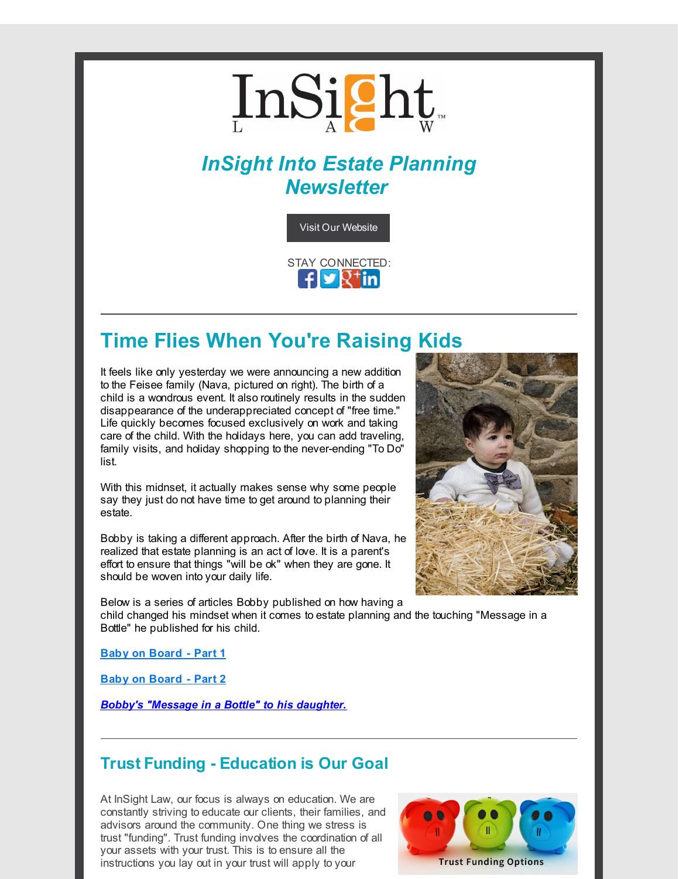

# *InSight Into Estate Planning Newsletter*



# **Time Flies When You're Raising Kids**

It feels like only yesterday we were announcing a new addition to the Feisee family (Nava, pictured on right). The birth of a child is a wondrous event. It also routinely results in the sudden disappearance of the underappreciated concept of "free time." Life quickly becomes focused exclusively on work and taking care of the child. With the holidays here, you can add traveling, family visits, and holiday shopping to the never-ending "To Do" list.

With this midnset, it actually makes sense why some people say they just do not have time to get around to planning their estate.

Bobby is taking a different approach. After the birth of Nava, he realized that estate planning is an act of love. It is a parent's effort to ensure that things "will be ok" when they are gone. It should be woven into your daily life.

Below is a series of articles Bobby published on how having a

child changed his mindset when it comes to estate planning and the touching "Message in a Bottle" he published for his child.

**Baby on [Board](http://r20.rs6.net/tn.jsp?f=001ECeWDRq13ioOu6hZi2oatPJF8TdID3cTa7IvQ_cna28XWdZWMQZkaOEXEpgkIrvw9U2JhA34-kpvQlFTtqpGkTIU6nQPQ_5FECzVTXG1UTu39q7daG7Hj28ezQ5jvT2b-9-F9lUH7R9w7q2YdzJldGrBmX74A0CKrA9yOxqpjk0tbA9cd-rRlkiHs0K0-jV5rxosZl1ZBjBoB1wBPTZvlJWroIeMWnBLmCYlAl4xw-Ga0qImafJqODro4ee3_L3ZSLr1MGIpVxJsd0X9Xr4EKPYTnrMovO7w0IwirqdiSLgZZGr9YNj6LzmibRAQ2jJZ6O2uQqh_8rUA0RS_cLiZTaEKbmOj_CN5RLkogsUSpwqxBN7eUxNtfF1ae5nwaEBZmtXRXZoqsE3izYuANviZAzInObGL8-aKNjNhlTLzXrbZIQD6kqIyzOEfmlnkBMPEG8Ud9vNScmFHvpGDW5yR5GgJKLD6n-aR_lRpSQxNR3l1D5BfqcCUAJV-arglGexz2Q1zvG8rm_Q=&c=&ch=) - Part 1**

**Baby on [Board](http://r20.rs6.net/tn.jsp?f=001ECeWDRq13ioOu6hZi2oatPJF8TdID3cTa7IvQ_cna28XWdZWMQZkaGHw6UmH7HZIGH2ogFLnsNqFJnklvuHtdXf8nnyEBbaoKzy1-NyLU-yr1lPeaKArECPgExicSWDYaZtnyzHjg-pw9XpykDii4rA5c8aT5LvrymDLb3UQDPcuantR9O91uExMJ8hOOAABqF9RzZat5Hcn-V9j-RvNSO5fXOOnT-TOeSQLtUnrZJOQKvGynBmWZp035ue2_TbjeKtEwq9Nr0QrDDuky-5PIp8yG7yoY6zKeU0gaTFqybBgdFgZbY2D_0j_su_Ddt-4bWRYBT3HUhd9BXNcQudUgusnbXx_ALeOZ3TgpoJU3LvT9USFWa0n31kSsQ_FVK_ks1qiukCrRJJBHyuzcHGy-JNNjffSXwHrxJQKn85haGA=&c=&ch=) - Part 2**

*Bobby's ["Message](http://r20.rs6.net/tn.jsp?f=001ECeWDRq13ioOu6hZi2oatPJF8TdID3cTa7IvQ_cna28XWdZWMQZkaJHV-8fLKsSMlzyxXSOHmB3f5sS1c59rZQWNjnR06rvKeXY4iLNdQ3J8MVq6qB3bx4MVOUNbHepIf4xCWqlH4tAndh78a9juYVBay9J8N8pYesM8RII7LLlAi5HmIvE3x-j3grhMGfOc9TbjyZoWQdv-r3cIRR_jNCX0dZGFbB3AsI8iL4GUEOyACwpd81I1Wy5rBS72WTVNox20CjLWrDtglDW37hhqHPq4tE29-8znWSQ8T2y5rse_0pqGPH4QRQKpfRIWlnTyIW_MEj690PkA3wxdXbPhCR82sAg9DoALwORl0fb8uDp0JXLO5h1dafZAfPzIMbMjfGKz9oSHkQOFk19iWB9MW82zdQIdypFaqOL-xHXQ5LgXfDhSrFGxXa0pty3DIogKc39IHC-NxZygUwW4T8ACtA==&c=&ch=) in a Bottle" to his daughter.*

## **Trust Funding - Education is Our Goal**

At InSight Law, our focus is always on education. We are constantly striving to educate our clients, their families, and advisors around the community. One thing we stress is trust "funding". Trust funding involves the coordination of all your assets with your trust. This is to ensure all the instructions you lay out in your trust will apply to your



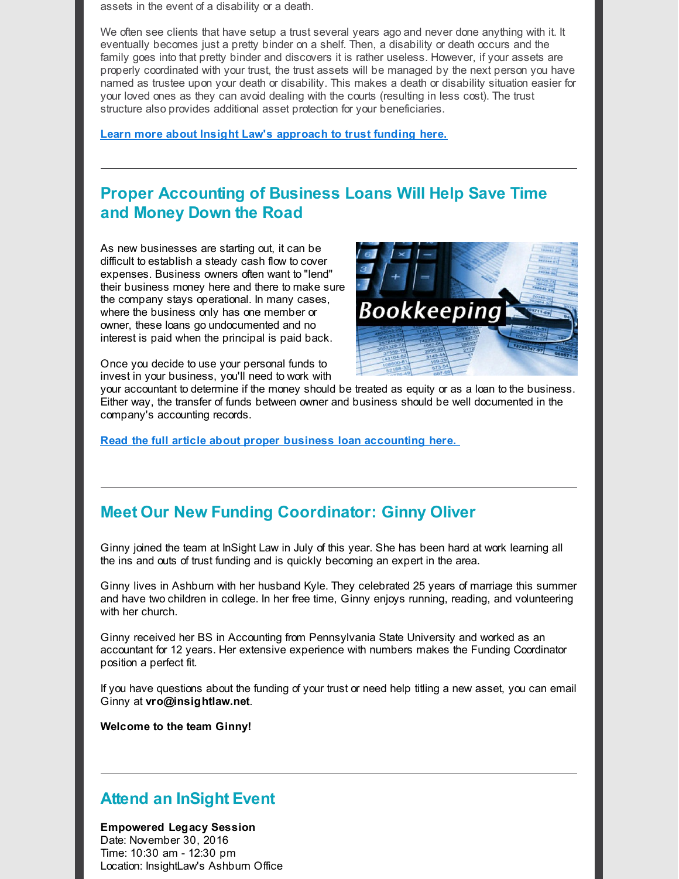assets in the event of a disability or a death.

We often see clients that have setup a trust several years ago and never done anything with it. It eventually becomes just a pretty binder on a shelf. Then, a disability or death occurs and the family goes into that pretty binder and discovers it is rather useless. However, if your assets are properly coordinated with your trust, the trust assets will be managed by the next person you have named as trustee upon your death or disability. This makes a death or disability situation easier for your loved ones as they can avoid dealing with the courts (resulting in less cost). The trust structure also provides additional asset protection for your beneficiaries.

**Learn more about Insight Law's [approach](http://r20.rs6.net/tn.jsp?f=001ECeWDRq13ioOu6hZi2oatPJF8TdID3cTa7IvQ_cna28XWdZWMQZkaCB5ZCrkzR7QnBA1MUI32FMCYukVcGJ_VuNEcq1q-y6AM720F9v74ybU7W4qKYYmGHv1j8ONfeIXfo1bKmswbKwi5uqrMw93gTKW0itAeO_P4aY8e3IJuXAJ1lg9qFu8hxVNZ46z2QSAA5pdRBLViN0TMXGjYcl29ZIn3luVUzULWn0HXMEhyUG5AyiUC3ORrTiSAdxOuCHyk_Iz4JuDKkZuPil51nIsPr_ZaVOP0Y820Y8xAsHzR3Wkc9sQAkwer-Cawxlw5Y4ANZ2YIe4SaYyalXBlsblEJD8HvBQf156FvgFSNDy_l9d8zZumXQy-Sghee17yA_Qiu-S49lUBfC5cT_6NPN1oHcftniMKvhWMotDJiWcJu40FQWSWW0rSDiHlm0Zl5RfR&c=&ch=) to trust funding here.**

# **Proper Accounting of Business Loans Will Help Save Time and Money Down the Road**

As new businesses are starting out, it can be difficult to establish a steady cash flow to cover expenses. Business owners often want to "lend" their business money here and there to make sure the company stays operational. In many cases, where the business only has one member or owner, these loans go undocumented and no interest is paid when the principal is paid back.

Once you decide to use your personal funds to invest in your business, you'll need to work with



your accountant to determine if the money should be treated as equity or as a loan to the business. Either way, the transfer of funds between owner and business should be well documented in the company's accounting records.

**Read the full article about proper business loan [accounting](http://r20.rs6.net/tn.jsp?f=001ECeWDRq13ioOu6hZi2oatPJF8TdID3cTa7IvQ_cna28XWdZWMQZkaCB5ZCrkzR7Q6AIT9ydlAxchbuNHE5DADyRs3gf64Yp78Zhdm13qr4xD9bzBkI4YF9mACA8zlGcgtvJaJZ0KwAbZQHv-bBZmMkQs_nvHGr4FAQ63yw043YChU7g9rPHTTWSOx5Bb_lO7r0LlvB6UaqCs-bs_eu-EeoIhu96wP5R7abo96spCg6H6f2xpgCMUqIP_DBqmYwgEz43BoaqzC5k4bC8lAnRDbtu-QaUbFtChLCxWXh8UenwgWJu-62zj0JeMYzbYtxHrwUpawf9JaGtsQXg2YKshqncQVwVFaGgTjJPHnTW1yJjugSPOacJRl3XwOaCHglI3r8sAlQ6AgU3TP4ugfwxIupuhll0u1xuaiSpHeNG1UIRmIVM3W9lbyRKy4jZ99wVo6RZuwXlkXp9__4xRlbsn8XjUioJ-vOvb89q_TgAZeAY=&c=&ch=) here.**

## **Meet Our New Funding Coordinator: Ginny Oliver**

Ginny joined the team at InSight Law in July of this year. She has been hard at work learning all the ins and outs of trust funding and is quickly becoming an expert in the area.

Ginny lives in Ashburn with her husband Kyle. They celebrated 25 years of marriage this summer and have two children in college. In her free time, Ginny enjoys running, reading, and volunteering with her church.

Ginny received her BS in Accounting from Pennsylvania State University and worked as an accountant for 12 years. Her extensive experience with numbers makes the Funding Coordinator position a perfect fit.

If you have questions about the funding of your trust or need help titling a new asset, you can email Ginny at **vro@insightlaw.net**.

**Welcome to the team Ginny!**

## **Attend an InSight Event**

#### **Empowered Legacy Session**

Date: November 30, 2016 Time: 10:30 am - 12:30 pm Location: InsightLaw's Ashburn Office